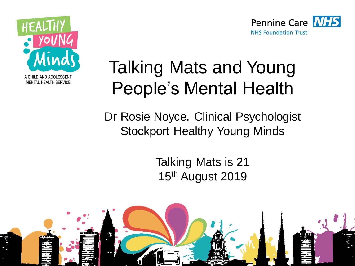



## Talking Mats and Young People's Mental Health

Dr Rosie Noyce, Clinical Psychologist Stockport Healthy Young Minds

> Talking Mats is 21 15<sup>th</sup> August 2019

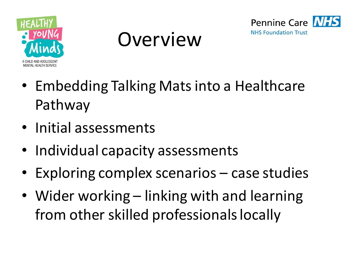





- Embedding Talking Mats into a Healthcare Pathway
- Initial assessments
- Individual capacity assessments
- Exploring complex scenarios case studies
- Wider working linking with and learning from other skilled professionals locally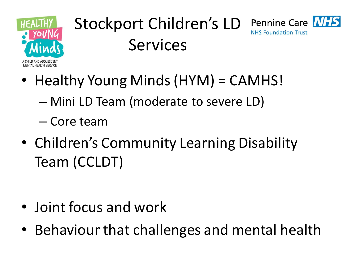

#### Stockport Children's LD Pennine Care NHS **NHS Foundation Trust** Services

- Healthy Young Minds (HYM) = CAMHS!
	- Mini LD Team (moderate to severe LD)
	- Core team
- Children's Community Learning Disability Team (CCLDT)

- Joint focus and work
- Behaviour that challenges and mental health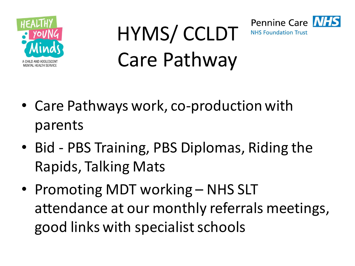





- Bid PBS Training, PBS Diplomas, Riding the Rapids, Talking Mats
- Promoting MDT working NHS SLT attendance at our monthly referrals meetings, good links with specialist schools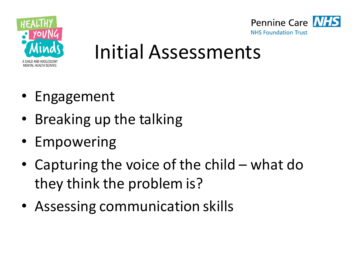



## Initial Assessments

- Engagement
- Breaking up the talking
- Empowering
- Capturing the voice of the child what do they think the problem is?
- Assessing communication skills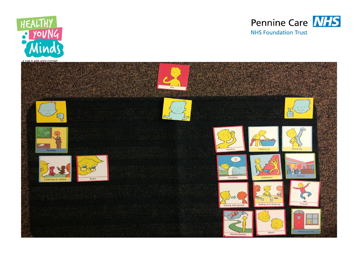



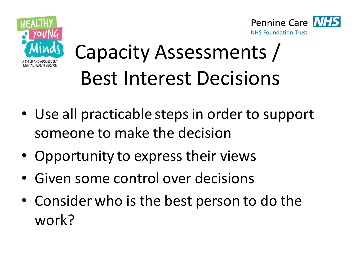



# Capacity Assessments / Best Interest Decisions

- Use all practicable steps in order to support someone to make the decision
- Opportunity to express their views
- Given some control over decisions
- Consider who is the best person to do the work?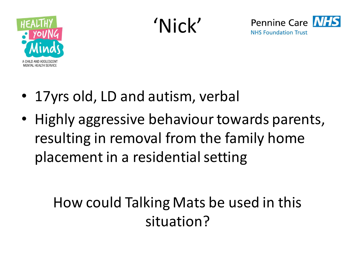

'Nick'



- 17yrs old, LD and autism, verbal
- Highly aggressive behaviour towards parents, resulting in removal from the family home placement in a residential setting

### How could Talking Mats be used in this situation?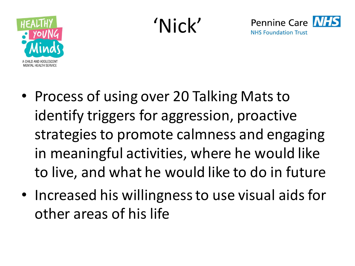

'Nick'



- Process of using over 20 Talking Mats to identify triggers for aggression, proactive strategies to promote calmness and engaging in meaningful activities, where he would like to live, and what he would like to do in future
- Increased his willingness to use visual aids for other areas of his life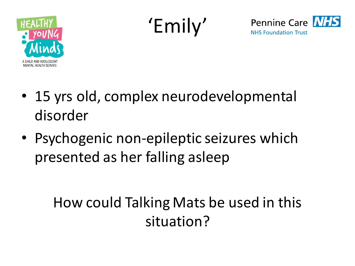

'Emily'



- 15 yrs old, complex neurodevelopmental disorder
- Psychogenic non-epileptic seizures which presented as her falling asleep

### How could Talking Mats be used in this situation?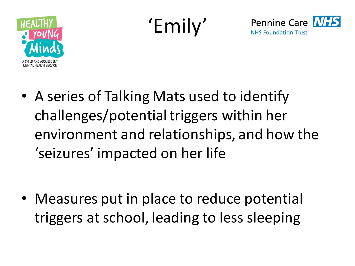

'Emily'



• A series of Talking Mats used to identify challenges/potential triggers within her environment and relationships, and how the 'seizures' impacted on her life

• Measures put in place to reduce potential triggers at school, leading to less sleeping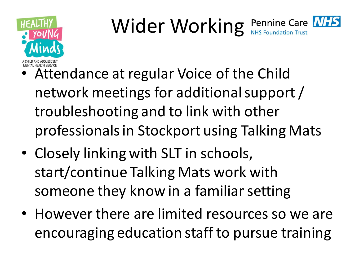

## Wider Working Pennine Care **MFS**

- Attendance at regular Voice of the Child network meetings for additional support / troubleshooting and to link with other professionals in Stockport using Talking Mats
- Closely linking with SLT in schools, start/continue Talking Mats work with someone they know in a familiar setting
- However there are limited resources so we are encouraging education staff to pursue training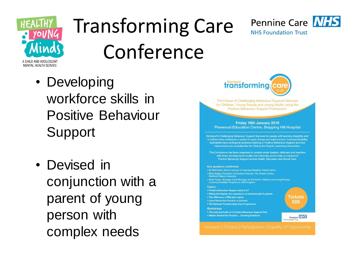

## Transforming Care Conference



• Developing workforce skills in Positive Behaviour **Support** 

• Devised in conjunction with a parent of young person with complex needs



The Future of Challenging Behaviour Support Services for Children, Young People and young Adults using the Positive Behaviour Support Framework

Friday 18th January 2019 **Pinewood Education Centre, Stepping Hill Hospital** 

Stockport's Challenging Behaviour Support Services for people with learning disability and/ or Autism have undergone a period of rapid change and improvement. Learning Disability Specialists have undergone extensive training in Positive Behaviour Support and new interventions are available like the 'Riding the Rapids' parenting intervention. This Conference has been organised to update senior leaders, clinicians and teachers with these developments locally and nationally, and to help us implement Positive Behaviour Support across Health, Education and Social Care.

#### **Key speakers confirmed**

. Dr Nick Gore, Senior Lecturer in Learning Disability, Tizard Centre **Sheffield Hallam University** . Kelly Taylor, Strategic Case Manager for the North, Children and Young People, Learning Disability Programme, NHS England **Topics** . Positive Behaviour Support what is it? • Riding the Rapids, the experience of professionals & parents **Гіскеts** • The difference a PBS plan makes **• Least Restrictive Practice in Schools** £85 . The National Transforming Care Programme **Workshops** . The nuts and bolts of a Positive Behaviour Support Plan · Hidden Restrictive Practice... Creating Solutions Stockport NHS